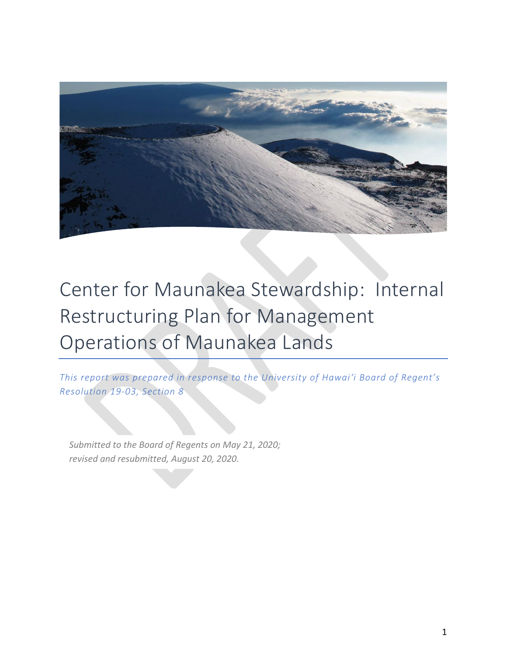

# Center for Maunakea Stewardship: Internal Restructuring Plan for Management Operations of Maunakea Lands

*This report was prepared in response to the University of Hawai'i Board of Regent's Resolution 19-03, Section 8*

*Submitted to the Board of Regents on May 21, 2020; revised and resubmitted, August 20, 2020.*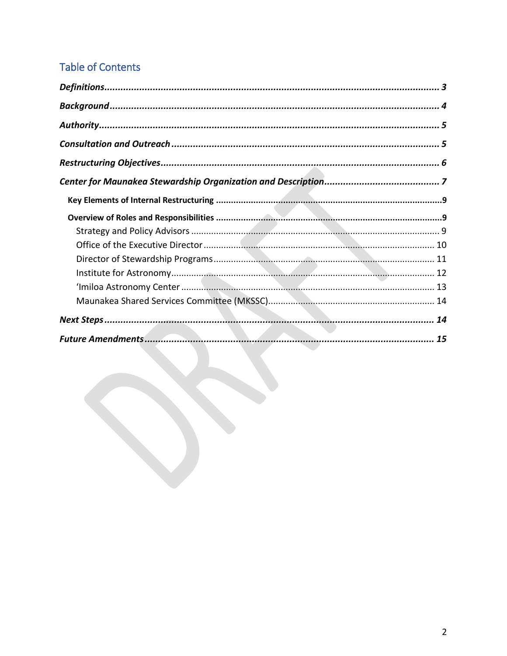## **Table of Contents**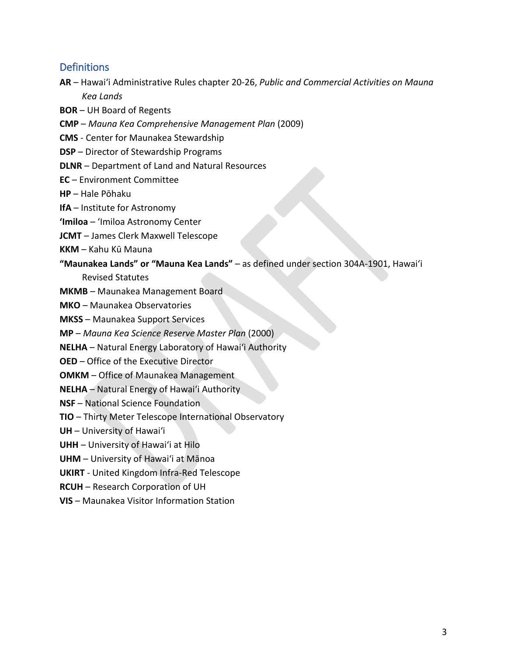## <span id="page-2-0"></span>**Definitions**

- **AR**  Hawaiʻi Administrative Rules chapter 20-26, *Public and Commercial Activities on Mauna Kea Lands*
- **BOR** UH Board of Regents
- **CMP**  *Mauna Kea Comprehensive Management Plan* (2009)
- **CMS**  Center for Maunakea Stewardship
- **DSP**  Director of Stewardship Programs
- **DLNR**  Department of Land and Natural Resources
- **EC** Environment Committee
- **HP** Hale Pōhaku
- **IfA** Institute for Astronomy
- **ʻImiloa** ʻImiloa Astronomy Center
- **JCMT** James Clerk Maxwell Telescope
- **KKM** Kahu Kū Mauna
- **"Maunakea Lands" or "Mauna Kea Lands"** as defined under section 304A-1901, Hawaiʻi

Revised Statutes

- **MKMB** Maunakea Management Board
- **MKO** Maunakea Observatories
- **MKSS** Maunakea Support Services
- **MP**  *Mauna Kea Science Reserve Master Plan* (2000)
- **NELHA**  Natural Energy Laboratory of Hawaiʻi Authority
- **OED**  Office of the Executive Director
- **OMKM** Office of Maunakea Management
- **NELHA** Natural Energy of Hawaiʻi Authority
- **NSF** National Science Foundation
- **TIO**  Thirty Meter Telescope International Observatory
- **UH** University of Hawaiʻi
- **UHH** University of Hawaiʻi at Hilo
- **UHM** University of Hawaiʻi at Mānoa
- **UKIRT** United Kingdom Infra-Red Telescope
- **RCUH** Research Corporation of UH
- **VIS**  Maunakea Visitor Information Station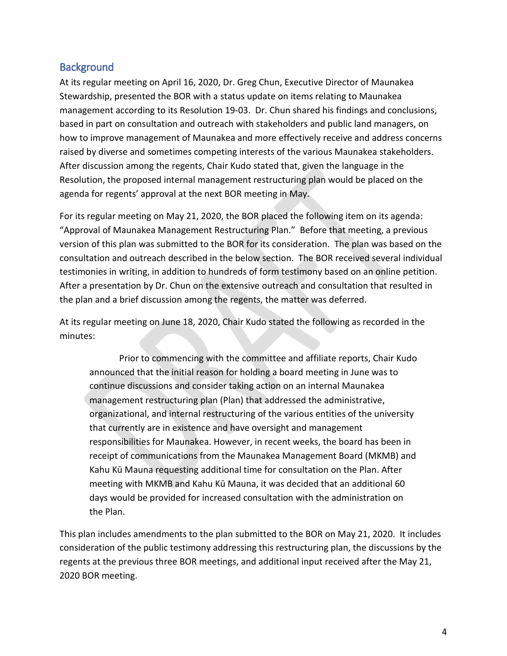## <span id="page-3-0"></span>**Background**

At its regular meeting on April 16, 2020, Dr. Greg Chun, Executive Director of Maunakea Stewardship, presented the BOR with a status update on items relating to Maunakea management according to its Resolution 19-03. Dr. Chun shared his findings and conclusions, based in part on consultation and outreach with stakeholders and public land managers, on how to improve management of Maunakea and more effectively receive and address concerns raised by diverse and sometimes competing interests of the various Maunakea stakeholders. After discussion among the regents, Chair Kudo stated that, given the language in the Resolution, the proposed internal management restructuring plan would be placed on the agenda for regents' approval at the next BOR meeting in May.

For its regular meeting on May 21, 2020, the BOR placed the following item on its agenda: "Approval of Maunakea Management Restructuring Plan." Before that meeting, a previous version of this plan was submitted to the BOR for its consideration. The plan was based on the consultation and outreach described in the below section. The BOR received several individual testimonies in writing, in addition to hundreds of form testimony based on an online petition. After a presentation by Dr. Chun on the extensive outreach and consultation that resulted in the plan and a brief discussion among the regents, the matter was deferred.

At its regular meeting on June 18, 2020, Chair Kudo stated the following as recorded in the minutes:

Prior to commencing with the committee and affiliate reports, Chair Kudo announced that the initial reason for holding a board meeting in June was to continue discussions and consider taking action on an internal Maunakea management restructuring plan (Plan) that addressed the administrative, organizational, and internal restructuring of the various entities of the university that currently are in existence and have oversight and management responsibilities for Maunakea. However, in recent weeks, the board has been in receipt of communications from the Maunakea Management Board (MKMB) and Kahu Kū Mauna requesting additional time for consultation on the Plan. After meeting with MKMB and Kahu Kū Mauna, it was decided that an additional 60 days would be provided for increased consultation with the administration on the Plan.

This plan includes amendments to the plan submitted to the BOR on May 21, 2020. It includes consideration of the public testimony addressing this restructuring plan, the discussions by the regents at the previous three BOR meetings, and additional input received after the May 21, 2020 BOR meeting.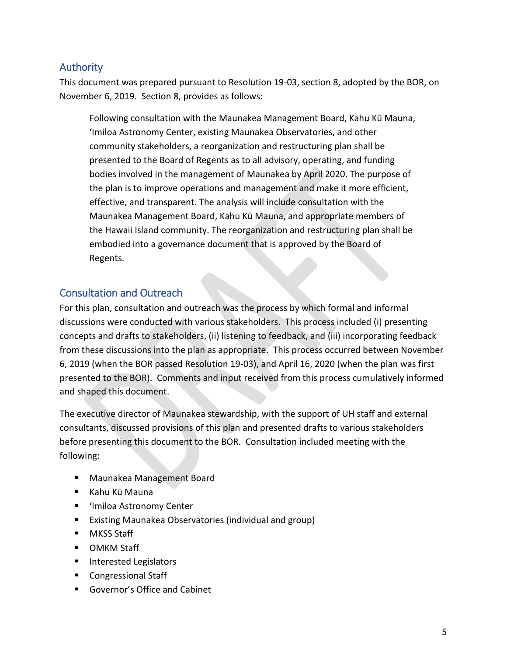## <span id="page-4-0"></span>Authority

This document was prepared pursuant to Resolution 19-03, section 8, adopted by the BOR, on November 6, 2019. Section 8, provides as follows:

Following consultation with the Maunakea Management Board, Kahu Kū Mauna, ʻImiloa Astronomy Center, existing Maunakea Observatories, and other community stakeholders, a reorganization and restructuring plan shall be presented to the Board of Regents as to all advisory, operating, and funding bodies involved in the management of Maunakea by April 2020. The purpose of the plan is to improve operations and management and make it more efficient, effective, and transparent. The analysis will include consultation with the Maunakea Management Board, Kahu Kū Mauna, and appropriate members of the Hawaii Island community. The reorganization and restructuring plan shall be embodied into a governance document that is approved by the Board of Regents.

## <span id="page-4-1"></span>Consultation and Outreach

For this plan, consultation and outreach was the process by which formal and informal discussions were conducted with various stakeholders. This process included (i) presenting concepts and drafts to stakeholders, (ii) listening to feedback, and (iii) incorporating feedback from these discussions into the plan as appropriate. This process occurred between November 6, 2019 (when the BOR passed Resolution 19-03), and April 16, 2020 (when the plan was first presented to the BOR). Comments and input received from this process cumulatively informed and shaped this document.

The executive director of Maunakea stewardship, with the support of UH staff and external consultants, discussed provisions of this plan and presented drafts to various stakeholders before presenting this document to the BOR. Consultation included meeting with the following:

- Maunakea Management Board
- Kahu Kū Mauna
- ʻImiloa Astronomy Center
- **Existing Maunakea Observatories (individual and group)**
- **MKSS Staff**
- **OMKM Staff**
- **Interested Legislators**
- **Congressional Staff**
- Governor's Office and Cabinet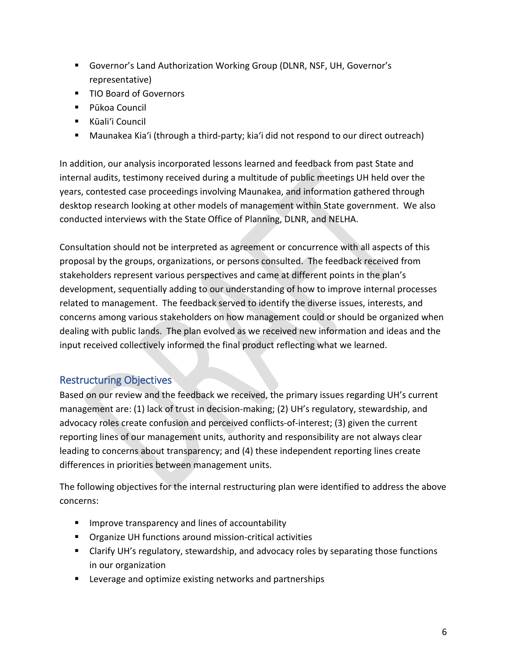- Governor's Land Authorization Working Group (DLNR, NSF, UH, Governor's representative)
- TIO Board of Governors
- Pūkoa Council
- Kūali'i Council
- Maunakea Kiaʻi (through a third-party; kiaʻi did not respond to our direct outreach)

In addition, our analysis incorporated lessons learned and feedback from past State and internal audits, testimony received during a multitude of public meetings UH held over the years, contested case proceedings involving Maunakea, and information gathered through desktop research looking at other models of management within State government. We also conducted interviews with the State Office of Planning, DLNR, and NELHA.

Consultation should not be interpreted as agreement or concurrence with all aspects of this proposal by the groups, organizations, or persons consulted. The feedback received from stakeholders represent various perspectives and came at different points in the plan's development, sequentially adding to our understanding of how to improve internal processes related to management. The feedback served to identify the diverse issues, interests, and concerns among various stakeholders on how management could or should be organized when dealing with public lands. The plan evolved as we received new information and ideas and the input received collectively informed the final product reflecting what we learned.

## <span id="page-5-0"></span>Restructuring Objectives

Based on our review and the feedback we received, the primary issues regarding UH's current management are: (1) lack of trust in decision-making; (2) UH's regulatory, stewardship, and advocacy roles create confusion and perceived conflicts-of-interest; (3) given the current reporting lines of our management units, authority and responsibility are not always clear leading to concerns about transparency; and (4) these independent reporting lines create differences in priorities between management units.

The following objectives for the internal restructuring plan were identified to address the above concerns:

- **IMPROVE TRANST 19 IMPROVE AND IMPLE 19** Improve transparency and lines of accountability
- **•** Organize UH functions around mission-critical activities
- **EXT** Clarify UH's regulatory, stewardship, and advocacy roles by separating those functions in our organization
- **E** Leverage and optimize existing networks and partnerships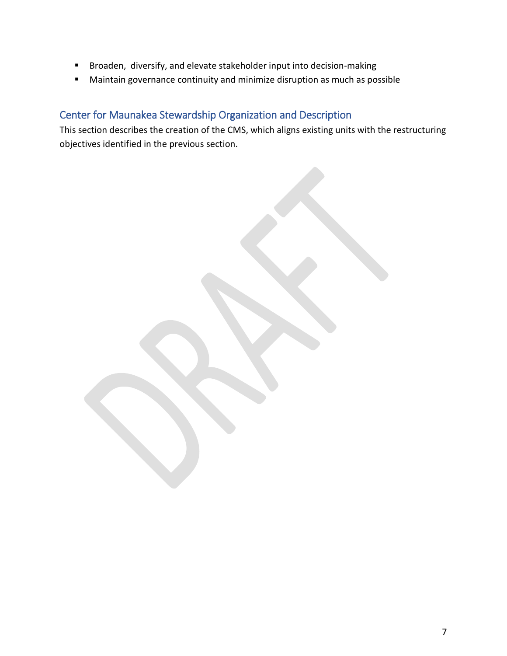- Broaden, diversify, and elevate stakeholder input into decision-making
- Maintain governance continuity and minimize disruption as much as possible

## <span id="page-6-0"></span>Center for Maunakea Stewardship Organization and Description

This section describes the creation of the CMS, which aligns existing units with the restructuring objectives identified in the previous section.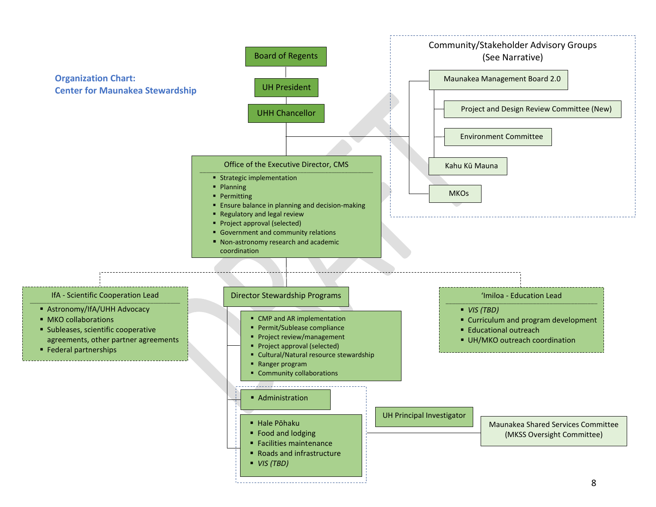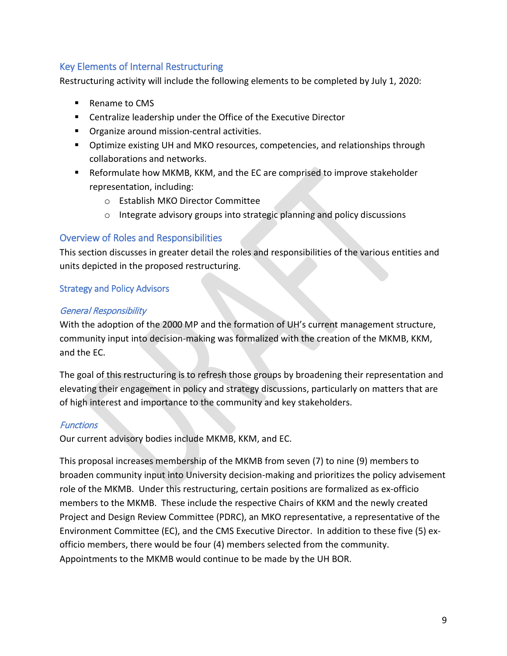## <span id="page-8-0"></span>Key Elements of Internal Restructuring

Restructuring activity will include the following elements to be completed by July 1, 2020:

- Rename to CMS
- Centralize leadership under the Office of the Executive Director
- **Organize around mission-central activities.**
- **D** Optimize existing UH and MKO resources, competencies, and relationships through collaborations and networks.
- Reformulate how MKMB, KKM, and the EC are comprised to improve stakeholder representation, including:
	- o Establish MKO Director Committee
	- o Integrate advisory groups into strategic planning and policy discussions

## <span id="page-8-1"></span>Overview of Roles and Responsibilities

This section discusses in greater detail the roles and responsibilities of the various entities and units depicted in the proposed restructuring.

## <span id="page-8-2"></span>Strategy and Policy Advisors

## General Responsibility

With the adoption of the 2000 MP and the formation of UH's current management structure, community input into decision-making was formalized with the creation of the MKMB, KKM, and the EC.

The goal of this restructuring is to refresh those groups by broadening their representation and elevating their engagement in policy and strategy discussions, particularly on matters that are of high interest and importance to the community and key stakeholders.

## **Functions**

Our current advisory bodies include MKMB, KKM, and EC.

This proposal increases membership of the MKMB from seven (7) to nine (9) members to broaden community input into University decision-making and prioritizes the policy advisement role of the MKMB. Under this restructuring, certain positions are formalized as ex-officio members to the MKMB. These include the respective Chairs of KKM and the newly created Project and Design Review Committee (PDRC), an MKO representative, a representative of the Environment Committee (EC), and the CMS Executive Director. In addition to these five (5) exofficio members, there would be four (4) members selected from the community. Appointments to the MKMB would continue to be made by the UH BOR.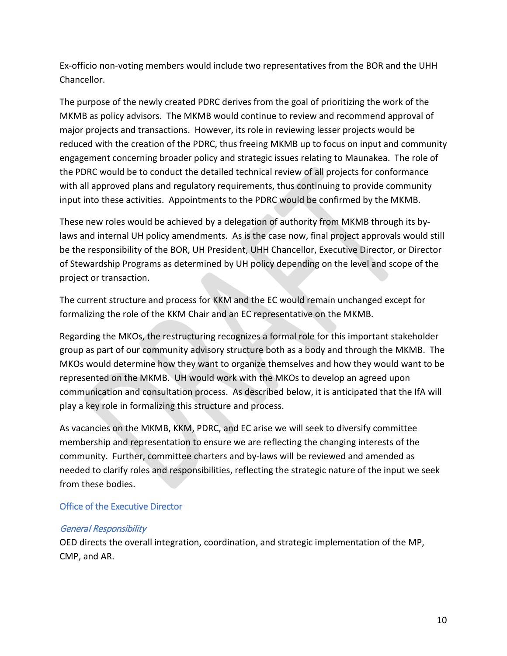Ex-officio non-voting members would include two representatives from the BOR and the UHH Chancellor.

The purpose of the newly created PDRC derives from the goal of prioritizing the work of the MKMB as policy advisors. The MKMB would continue to review and recommend approval of major projects and transactions. However, its role in reviewing lesser projects would be reduced with the creation of the PDRC, thus freeing MKMB up to focus on input and community engagement concerning broader policy and strategic issues relating to Maunakea. The role of the PDRC would be to conduct the detailed technical review of all projects for conformance with all approved plans and regulatory requirements, thus continuing to provide community input into these activities. Appointments to the PDRC would be confirmed by the MKMB.

These new roles would be achieved by a delegation of authority from MKMB through its bylaws and internal UH policy amendments. As is the case now, final project approvals would still be the responsibility of the BOR, UH President, UHH Chancellor, Executive Director, or Director of Stewardship Programs as determined by UH policy depending on the level and scope of the project or transaction.

The current structure and process for KKM and the EC would remain unchanged except for formalizing the role of the KKM Chair and an EC representative on the MKMB.

Regarding the MKOs, the restructuring recognizes a formal role for this important stakeholder group as part of our community advisory structure both as a body and through the MKMB. The MKOs would determine how they want to organize themselves and how they would want to be represented on the MKMB. UH would work with the MKOs to develop an agreed upon communication and consultation process. As described below, it is anticipated that the IfA will play a key role in formalizing this structure and process.

As vacancies on the MKMB, KKM, PDRC, and EC arise we will seek to diversify committee membership and representation to ensure we are reflecting the changing interests of the community. Further, committee charters and by-laws will be reviewed and amended as needed to clarify roles and responsibilities, reflecting the strategic nature of the input we seek from these bodies.

### <span id="page-9-0"></span>Office of the Executive Director

#### General Responsibility

OED directs the overall integration, coordination, and strategic implementation of the MP, CMP, and AR.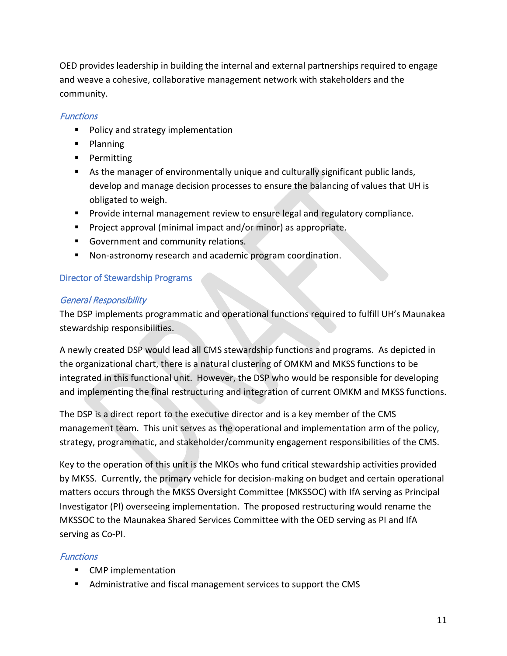OED provides leadership in building the internal and external partnerships required to engage and weave a cohesive, collaborative management network with stakeholders and the community.

## **Functions**

- **Policy and strategy implementation**
- **Planning**
- **Permitting**
- As the manager of environmentally unique and culturally significant public lands, develop and manage decision processes to ensure the balancing of values that UH is obligated to weigh.
- **Provide internal management review to ensure legal and regulatory compliance.**
- **Project approval (minimal impact and/or minor) as appropriate.**
- Government and community relations.
- Non-astronomy research and academic program coordination.

## <span id="page-10-0"></span>Director of Stewardship Programs

## General Responsibility

The DSP implements programmatic and operational functions required to fulfill UH's Maunakea stewardship responsibilities.

A newly created DSP would lead all CMS stewardship functions and programs. As depicted in the organizational chart, there is a natural clustering of OMKM and MKSS functions to be integrated in this functional unit. However, the DSP who would be responsible for developing and implementing the final restructuring and integration of current OMKM and MKSS functions.

The DSP is a direct report to the executive director and is a key member of the CMS management team. This unit serves as the operational and implementation arm of the policy, strategy, programmatic, and stakeholder/community engagement responsibilities of the CMS.

Key to the operation of this unit is the MKOs who fund critical stewardship activities provided by MKSS. Currently, the primary vehicle for decision-making on budget and certain operational matters occurs through the MKSS Oversight Committee (MKSSOC) with IfA serving as Principal Investigator (PI) overseeing implementation. The proposed restructuring would rename the MKSSOC to the Maunakea Shared Services Committee with the OED serving as PI and IfA serving as Co-PI.

## **Functions**

- CMP implementation
- Administrative and fiscal management services to support the CMS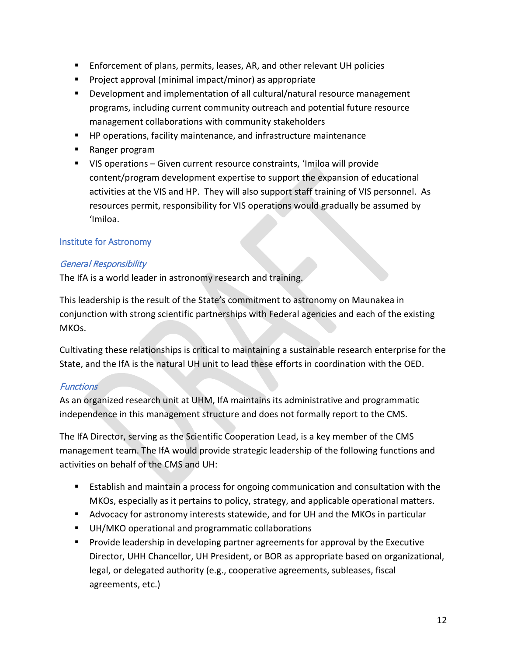- Enforcement of plans, permits, leases, AR, and other relevant UH policies
- **Project approval (minimal impact/minor) as appropriate**
- **Development and implementation of all cultural/natural resource management** programs, including current community outreach and potential future resource management collaborations with community stakeholders
- **HP operations, facility maintenance, and infrastructure maintenance**
- Ranger program
- VIS operations Given current resource constraints, 'Imiloa will provide content/program development expertise to support the expansion of educational activities at the VIS and HP. They will also support staff training of VIS personnel. As resources permit, responsibility for VIS operations would gradually be assumed by ʻImiloa.

## <span id="page-11-0"></span>Institute for Astronomy

### General Responsibility

The IfA is a world leader in astronomy research and training.

This leadership is the result of the State's commitment to astronomy on Maunakea in conjunction with strong scientific partnerships with Federal agencies and each of the existing MKOs.

Cultivating these relationships is critical to maintaining a sustainable research enterprise for the State, and the IfA is the natural UH unit to lead these efforts in coordination with the OED.

### **Functions**

As an organized research unit at UHM, IfA maintains its administrative and programmatic independence in this management structure and does not formally report to the CMS.

The IfA Director, serving as the Scientific Cooperation Lead, is a key member of the CMS management team. The IfA would provide strategic leadership of the following functions and activities on behalf of the CMS and UH:

- Establish and maintain a process for ongoing communication and consultation with the MKOs, especially as it pertains to policy, strategy, and applicable operational matters.
- Advocacy for astronomy interests statewide, and for UH and the MKOs in particular
- **UH/MKO operational and programmatic collaborations**
- **Provide leadership in developing partner agreements for approval by the Executive** Director, UHH Chancellor, UH President, or BOR as appropriate based on organizational, legal, or delegated authority (e.g., cooperative agreements, subleases, fiscal agreements, etc.)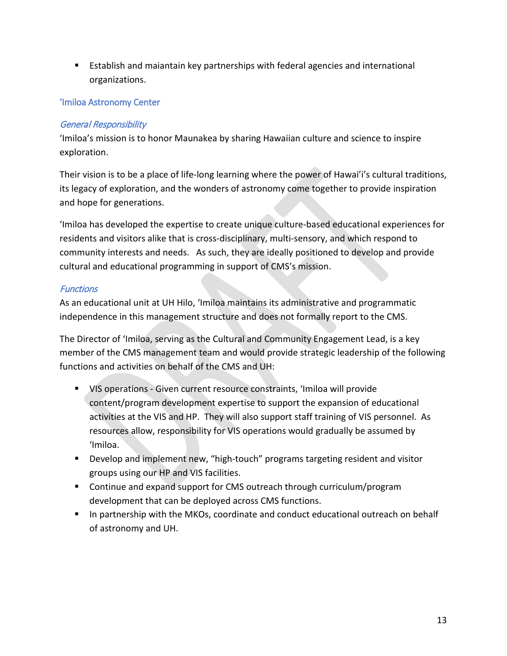Establish and maiantain key partnerships with federal agencies and international organizations.

## <span id="page-12-0"></span>'Imiloa Astronomy Center

### General Responsibility

'Imiloa's mission is to honor Maunakea by sharing Hawaiian culture and science to inspire exploration.

Their vision is to be a place of life-long learning where the power of Hawai'i's cultural traditions, its legacy of exploration, and the wonders of astronomy come together to provide inspiration and hope for generations.

'Imiloa has developed the expertise to create unique culture-based educational experiences for residents and visitors alike that is cross-disciplinary, multi-sensory, and which respond to community interests and needs. As such, they are ideally positioned to develop and provide cultural and educational programming in support of CMS's mission.

## **Functions**

As an educational unit at UH Hilo, 'Imiloa maintains its administrative and programmatic independence in this management structure and does not formally report to the CMS.

The Director of 'Imiloa, serving as the Cultural and Community Engagement Lead, is a key member of the CMS management team and would provide strategic leadership of the following functions and activities on behalf of the CMS and UH:

- VIS operations Given current resource constraints, 'Imiloa will provide content/program development expertise to support the expansion of educational activities at the VIS and HP. They will also support staff training of VIS personnel. As resources allow, responsibility for VIS operations would gradually be assumed by 'Imiloa.
- Develop and implement new, "high-touch" programs targeting resident and visitor groups using our HP and VIS facilities.
- Continue and expand support for CMS outreach through curriculum/program development that can be deployed across CMS functions.
- **IF In partnership with the MKOs, coordinate and conduct educational outreach on behalf** of astronomy and UH.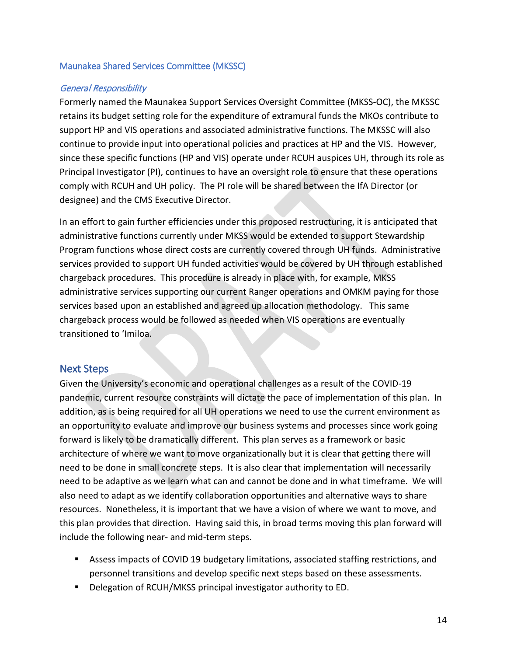#### <span id="page-13-0"></span>Maunakea Shared Services Committee (MKSSC)

#### General Responsibility

Formerly named the Maunakea Support Services Oversight Committee (MKSS-OC), the MKSSC retains its budget setting role for the expenditure of extramural funds the MKOs contribute to support HP and VIS operations and associated administrative functions. The MKSSC will also continue to provide input into operational policies and practices at HP and the VIS. However, since these specific functions (HP and VIS) operate under RCUH auspices UH, through its role as Principal Investigator (PI), continues to have an oversight role to ensure that these operations comply with RCUH and UH policy. The PI role will be shared between the IfA Director (or designee) and the CMS Executive Director.

In an effort to gain further efficiencies under this proposed restructuring, it is anticipated that administrative functions currently under MKSS would be extended to support Stewardship Program functions whose direct costs are currently covered through UH funds. Administrative services provided to support UH funded activities would be covered by UH through established chargeback procedures. This procedure is already in place with, for example, MKSS administrative services supporting our current Ranger operations and OMKM paying for those services based upon an established and agreed up allocation methodology. This same chargeback process would be followed as needed when VIS operations are eventually transitioned to 'Imiloa.

### <span id="page-13-1"></span>Next Steps

Given the University's economic and operational challenges as a result of the COVID-19 pandemic, current resource constraints will dictate the pace of implementation of this plan. In addition, as is being required for all UH operations we need to use the current environment as an opportunity to evaluate and improve our business systems and processes since work going forward is likely to be dramatically different. This plan serves as a framework or basic architecture of where we want to move organizationally but it is clear that getting there will need to be done in small concrete steps. It is also clear that implementation will necessarily need to be adaptive as we learn what can and cannot be done and in what timeframe. We will also need to adapt as we identify collaboration opportunities and alternative ways to share resources. Nonetheless, it is important that we have a vision of where we want to move, and this plan provides that direction. Having said this, in broad terms moving this plan forward will include the following near- and mid-term steps.

- Assess impacts of COVID 19 budgetary limitations, associated staffing restrictions, and personnel transitions and develop specific next steps based on these assessments.
- **Delegation of RCUH/MKSS principal investigator authority to ED.**